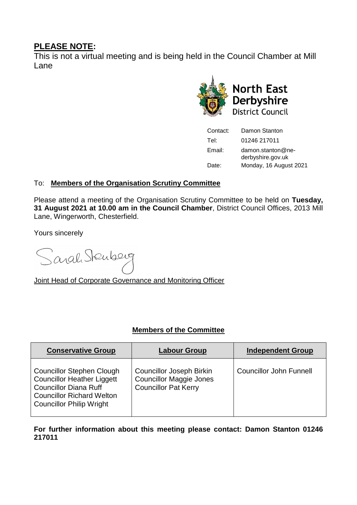## **PLEASE NOTE:**

This is not a virtual meeting and is being held in the Council Chamber at Mill Lane



| Contact: | Damon Stanton                             |  |
|----------|-------------------------------------------|--|
| Tel:     | 01246 217011                              |  |
| Email:   | $d$ amon.stanton@ne-<br>derbyshire.gov.uk |  |
| Date:    | Monday, 16 August 2021                    |  |

## To: **Members of the Organisation Scrutiny Committee**

Please attend a meeting of the Organisation Scrutiny Committee to be held on **Tuesday, 31 August 2021 at 10.00 am in the Council Chamber**, District Council Offices, 2013 Mill Lane, Wingerworth, Chesterfield.

Yours sincerely

Sarah Stenberg

Joint Head of Corporate Governance and Monitoring Officer

### **Members of the Committee**

| <b>Conservative Group</b>                                                                                                                                                    | <b>Labour Group</b>                                                                              | <b>Independent Group</b>       |
|------------------------------------------------------------------------------------------------------------------------------------------------------------------------------|--------------------------------------------------------------------------------------------------|--------------------------------|
| <b>Councillor Stephen Clough</b><br><b>Councillor Heather Liggett</b><br><b>Councillor Diana Ruff</b><br><b>Councillor Richard Welton</b><br><b>Councillor Philip Wright</b> | <b>Councillor Joseph Birkin</b><br><b>Councillor Maggie Jones</b><br><b>Councillor Pat Kerry</b> | <b>Councillor John Funnell</b> |

**For further information about this meeting please contact: Damon Stanton 01246 217011**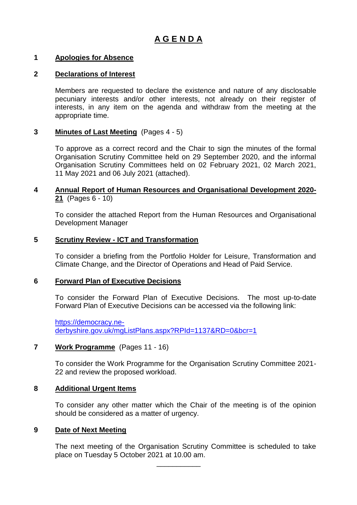# **A G E N D A**

#### **1 Apologies for Absence**

#### **2 Declarations of Interest**

Members are requested to declare the existence and nature of any disclosable pecuniary interests and/or other interests, not already on their register of interests, in any item on the agenda and withdraw from the meeting at the appropriate time.

#### **3 Minutes of Last Meeting** (Pages 4 - 5)

To approve as a correct record and the Chair to sign the minutes of the formal Organisation Scrutiny Committee held on 29 September 2020, and the informal Organisation Scrutiny Committees held on 02 February 2021, 02 March 2021, 11 May 2021 and 06 July 2021 (attached).

#### **4 Annual Report of Human Resources and Organisational Development 2020- 21** (Pages 6 - 10)

To consider the attached Report from the Human Resources and Organisational Development Manager

#### **5 Scrutiny Review - ICT and Transformation**

To consider a briefing from the Portfolio Holder for Leisure, Transformation and Climate Change, and the Director of Operations and Head of Paid Service.

#### **6 Forward Plan of Executive Decisions**

To consider the Forward Plan of Executive Decisions. The most up-to-date Forward Plan of Executive Decisions can be accessed via the following link:

[https://democracy.ne](https://democracy.ne-derbyshire.gov.uk/mgListPlans.aspx?RPId=1137&RD=0&bcr=1)[derbyshire.gov.uk/mgListPlans.aspx?RPId=1137&RD=0&bcr=1](https://democracy.ne-derbyshire.gov.uk/mgListPlans.aspx?RPId=1137&RD=0&bcr=1)

#### **7 Work Programme** (Pages 11 - 16)

To consider the Work Programme for the Organisation Scrutiny Committee 2021- 22 and review the proposed workload.

#### **8 Additional Urgent Items**

To consider any other matter which the Chair of the meeting is of the opinion should be considered as a matter of urgency.

#### **9 Date of Next Meeting**

The next meeting of the Organisation Scrutiny Committee is scheduled to take place on Tuesday 5 October 2021 at 10.00 am.

\_\_\_\_\_\_\_\_\_\_\_